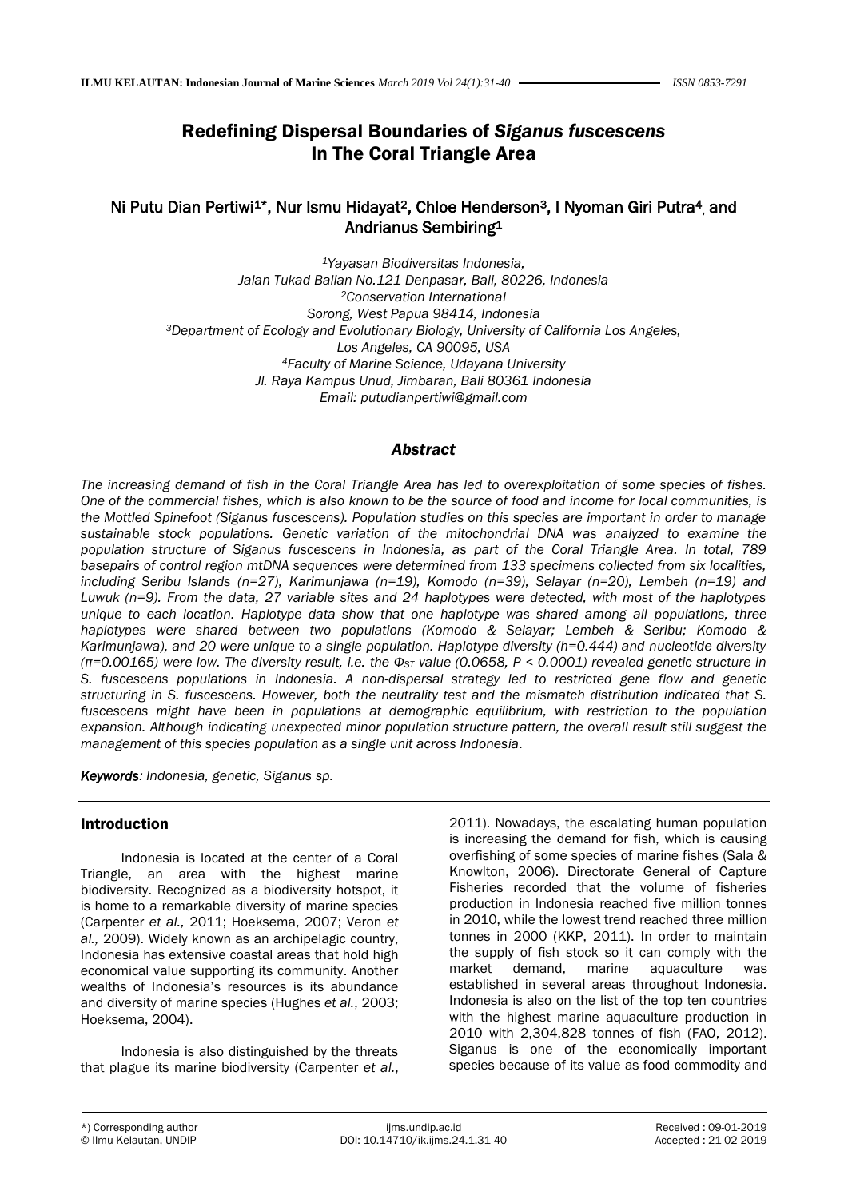# Redefining Dispersal Boundaries of *Siganus fuscescens* In The Coral Triangle Area

# Ni Putu Dian Pertiwi<sup>1\*</sup>, Nur Ismu Hidayat<sup>2</sup>, Chloe Henderson<sup>3</sup>, I Nyoman Giri Putra<sup>4</sup>, and Andrianus Sembiring<sup>1</sup>

*<sup>1</sup>Yayasan Biodiversitas Indonesia, Jalan Tukad Balian No.121 Denpasar, Bali, 80226, Indonesia <sup>2</sup>Conservation International Sorong, West Papua 98414, Indonesia <sup>3</sup>Department of Ecology and Evolutionary Biology, University of California Los Angeles, Los Angeles, CA 90095, USA <sup>4</sup>Faculty of Marine Science, Udayana University Jl. Raya Kampus Unud, Jimbaran, Bali 80361 Indonesia Email: putudianpertiwi@gmail.com*

#### *Abstract*

*The increasing demand of fish in the Coral Triangle Area has led to overexploitation of some species of fishes. One of the commercial fishes, which is also known to be the source of food and income for local communities, is the Mottled Spinefoot (Siganus fuscescens). Population studies on this species are important in order to manage sustainable stock populations. Genetic variation of the mitochondrial DNA was analyzed to examine the population structure of Siganus fuscescens in Indonesia, as part of the Coral Triangle Area. In total, 789 basepairs of control region mtDNA sequences were determined from 133 specimens collected from six localities, including Seribu Islands (n=27), Karimunjawa (n=19), Komodo (n=39), Selayar (n=20), Lembeh (n=19) and Luwuk (n=9). From the data, 27 variable sites and 24 haplotypes were detected, with most of the haplotypes unique to each location. Haplotype data show that one haplotype was shared among all populations, three haplotypes were shared between two populations (Komodo & Selayar; Lembeh & Seribu; Komodo & Karimunjawa), and 20 were unique to a single population. Haplotype diversity (h=0.444) and nucleotide diversity (π=0.00165) were low. The diversity result, i.e. the ΦST value (0.0658, P < 0.0001) revealed genetic structure in S. fuscescens populations in Indonesia. A non-dispersal strategy led to restricted gene flow and genetic structuring in S. fuscescens. However, both the neutrality test and the mismatch distribution indicated that S. fuscescens might have been in populations at demographic equilibrium, with restriction to the population expansion. Although indicating unexpected minor population structure pattern, the overall result still suggest the management of this species population as a single unit across Indonesia.*

*Keywords: Indonesia, genetic, Siganus sp.*

### Introduction

Indonesia is located at the center of a Coral Triangle, an area with the highest marine biodiversity. Recognized as a biodiversity hotspot, it is home to a remarkable diversity of marine species (Carpenter *et al.,* 2011; Hoeksema, 2007; Veron *et al.,* 2009). Widely known as an archipelagic country, Indonesia has extensive coastal areas that hold high economical value supporting its community. Another wealths of Indonesia's resources is its abundance and diversity of marine species (Hughes *et al.*, 2003; Hoeksema, 2004).

Indonesia is also distinguished by the threats that plague its marine biodiversity (Carpenter *et al.*, 2011). Nowadays, the escalating human population is increasing the demand for fish, which is causing overfishing of some species of marine fishes (Sala & Knowlton, 2006). Directorate General of Capture Fisheries recorded that the volume of fisheries production in Indonesia reached five million tonnes in 2010, while the lowest trend reached three million tonnes in 2000 (KKP, 2011). In order to maintain the supply of fish stock so it can comply with the market demand, marine aquaculture was established in several areas throughout Indonesia. Indonesia is also on the list of the top ten countries with the highest marine aquaculture production in 2010 with 2,304,828 tonnes of fish (FAO, 2012). Siganus is one of the economically important species because of its value as food commodity and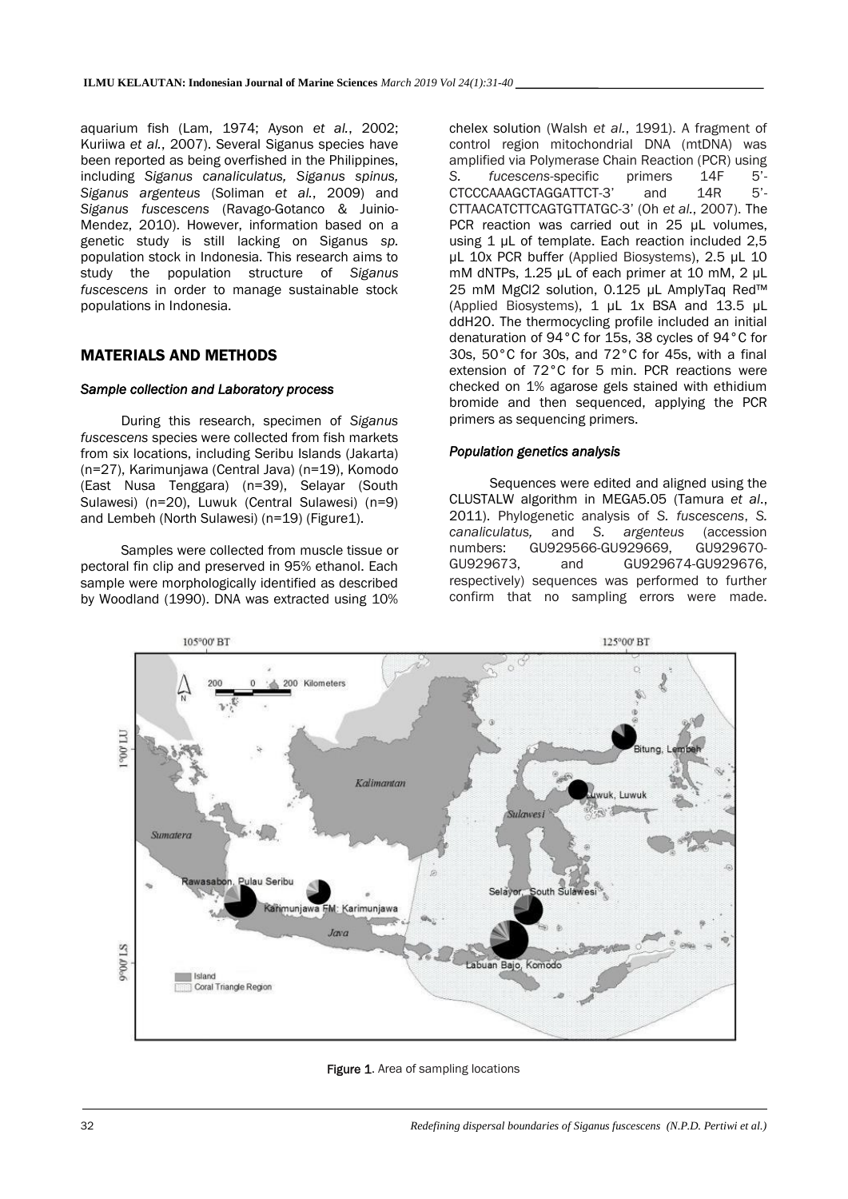aquarium fish (Lam, 1974; Ayson *et al.*, 2002; Kuriiwa *et al.*, 2007). Several Siganus species have been reported as being overfished in the Philippines, including *Siganus canaliculatus, Siganus spinus, Siganus argenteus* (Soliman *et al.*, 2009) and *Siganus fuscescens* (Ravago-Gotanco & Juinio-Mendez, 2010). However, information based on a genetic study is still lacking on Siganus *sp.*  population stock in Indonesia. This research aims to study the population structure of *Siganus fuscescens* in order to manage sustainable stock populations in Indonesia.

### MATERIALS AND METHODS

#### *Sample collection and Laboratory process*

During this research, specimen of *Siganus fuscescens* species were collected from fish markets from six locations, including Seribu Islands (Jakarta) (n=27), Karimunjawa (Central Java) (n=19), Komodo (East Nusa Tenggara) (n=39), Selayar (South Sulawesi) (n=20), Luwuk (Central Sulawesi) (n=9) and Lembeh (North Sulawesi) (n=19) (Figure1).

Samples were collected from muscle tissue or pectoral fin clip and preserved in 95% ethanol. Each sample were morphologically identified as described by Woodland (1990). DNA was extracted using 10%

chelex solution (Walsh *et al.*, 1991). A fragment of control region mitochondrial DNA (mtDNA) was amplified via Polymerase Chain Reaction (PCR) using *S. fucescens*-specific primers 14F 5'- CTCCCAAAGCTAGGATTCT-3' and 14R CTTAACATCTTCAGTGTTATGC-3' (Oh *et al.*, 2007). The PCR reaction was carried out in 25 µL volumes, using 1 µL of template. Each reaction included 2,5 µL 10x PCR buffer (Applied Biosystems), 2.5 µL 10 mM dNTPs, 1.25 µL of each primer at 10 mM, 2 µL 25 mM MgCl2 solution, 0.125 µL AmplyTaq Red™ (Applied Biosystems), 1 µL 1x BSA and 13.5 µL ddH2O. The thermocycling profile included an initial denaturation of 94°C for 15s, 38 cycles of 94°C for 30s, 50°C for 30s, and 72°C for 45s, with a final extension of 72°C for 5 min. PCR reactions were checked on 1% agarose gels stained with ethidium bromide and then sequenced, applying the PCR primers as sequencing primers.

#### *Population genetics analysis*

Sequences were edited and aligned using the CLUSTALW algorithm in MEGA5.05 (Tamura *et al*., 2011). Phylogenetic analysis of *S. fuscescens*, *S. canaliculatus,* and *S. argenteus* (accession numbers: GU929566-GU929669, GU929670- GU929673, and GU929674-GU929676, respectively) sequences was performed to further confirm that no sampling errors were made.



Figure 1. Area of sampling locations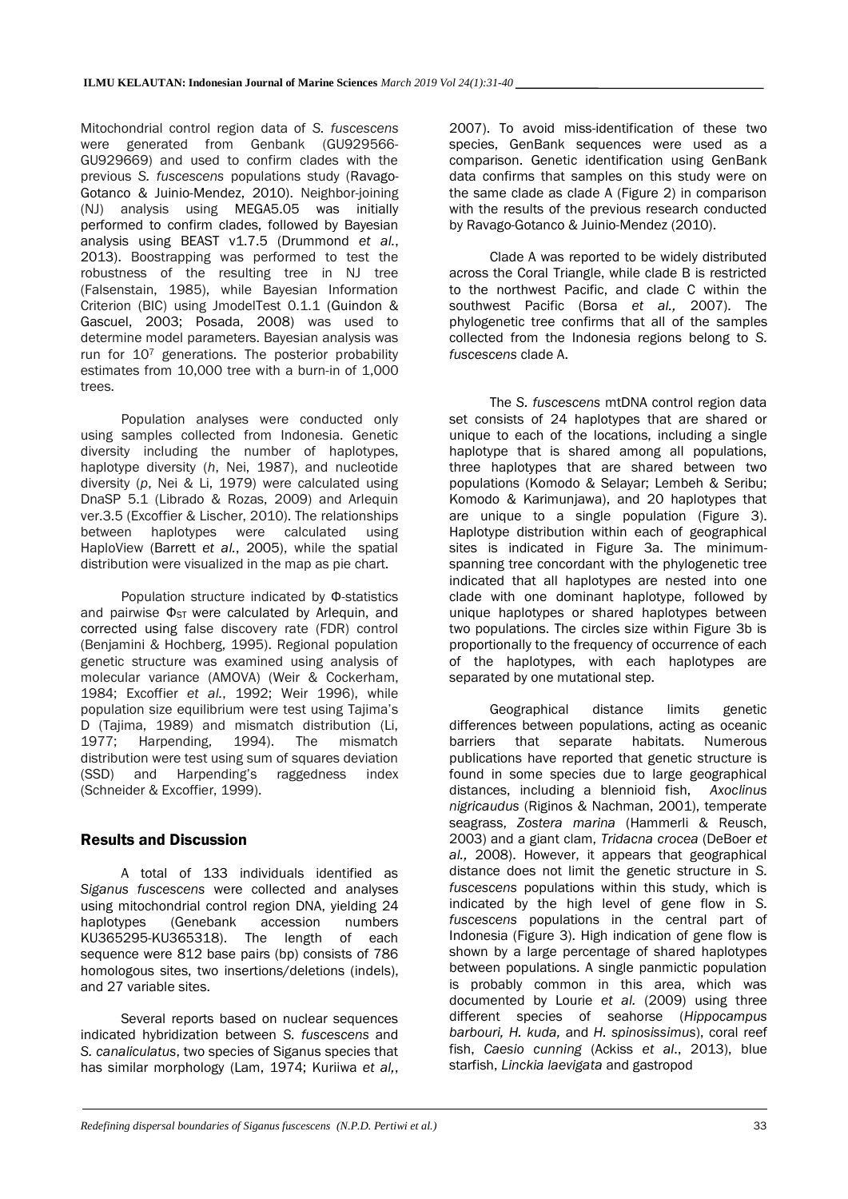Mitochondrial control region data of *S. fuscescens* were generated from Genbank (GU929566- GU929669) and used to confirm clades with the previous *S. fuscescens* populations study (Ravago-Gotanco & Juinio-Mendez, 2010). Neighbor-joining (NJ) analysis using MEGA5.05 was initially performed to confirm clades, followed by Bayesian analysis using BEAST v1.7.5 (Drummond *et al.*, 2013). Boostrapping was performed to test the robustness of the resulting tree in NJ tree (Falsenstain, 1985), while Bayesian Information Criterion (BIC) using JmodelTest 0.1.1 (Guindon & Gascuel, 2003; Posada, 2008) was used to determine model parameters. Bayesian analysis was run for 10<sup>7</sup> generations. The posterior probability estimates from 10,000 tree with a burn-in of 1,000 trees.

Population analyses were conducted only using samples collected from Indonesia. Genetic diversity including the number of haplotypes, haplotype diversity (*h*, Nei, 1987), and nucleotide diversity (*p*, Nei & Li, 1979) were calculated using DnaSP 5.1 (Librado & Rozas, 2009) and Arlequin ver.3.5 (Excoffier & Lischer, 2010). The relationships between haplotypes were calculated using HaploView (Barrett *et al.*, 2005), while the spatial distribution were visualized in the map as pie chart.

Population structure indicated by Φ-statistics and pairwise  $\Phi_{ST}$  were calculated by Arlequin, and corrected using false discovery rate (FDR) control (Benjamini & Hochberg, 1995). Regional population genetic structure was examined using analysis of molecular variance (AMOVA) (Weir & Cockerham, 1984; Excoffier *et al.*, 1992; Weir 1996), while population size equilibrium were test using Tajima's D (Tajima, 1989) and mismatch distribution (Li, 1977; Harpending, 1994). The mismatch Harpending, 1994). The mismatch distribution were test using sum of squares deviation (SSD) and Harpending's raggedness index (Schneider & Excoffier, 1999).

# Results and Discussion

A total of 133 individuals identified as *Siganus fuscescens* were collected and analyses using mitochondrial control region DNA, yielding 24 haplotypes (Genebank accession numbers KU365295-KU365318). The length of each sequence were 812 base pairs (bp) consists of 786 homologous sites, two insertions/deletions (indels), and 27 variable sites.

Several reports based on nuclear sequences indicated hybridization between *S. fuscescens* and *S. canaliculatus*, two species of Siganus species that has similar morphology (Lam, 1974; Kuriiwa *et al,*, 2007). To avoid miss-identification of these two species, GenBank sequences were used as a comparison. Genetic identification using GenBank data confirms that samples on this study were on the same clade as clade A (Figure 2) in comparison with the results of the previous research conducted by Ravago-Gotanco & Juinio-Mendez (2010).

Clade A was reported to be widely distributed across the Coral Triangle, while clade B is restricted to the northwest Pacific, and clade C within the southwest Pacific (Borsa *et al.,* 2007). The phylogenetic tree confirms that all of the samples collected from the Indonesia regions belong to *S. fuscescens* clade A.

The *S. fuscescens* mtDNA control region data set consists of 24 haplotypes that are shared or unique to each of the locations, including a single haplotype that is shared among all populations, three haplotypes that are shared between two populations (Komodo & Selayar; Lembeh & Seribu; Komodo & Karimunjawa), and 20 haplotypes that are unique to a single population (Figure 3). Haplotype distribution within each of geographical sites is indicated in Figure 3a. The minimumspanning tree concordant with the phylogenetic tree indicated that all haplotypes are nested into one clade with one dominant haplotype, followed by unique haplotypes or shared haplotypes between two populations. The circles size within Figure 3b is proportionally to the frequency of occurrence of each of the haplotypes, with each haplotypes are separated by one mutational step.

Geographical distance limits genetic differences between populations, acting as oceanic barriers that separate habitats. Numerous publications have reported that genetic structure is found in some species due to large geographical distances, including a blennioid fish, *Axoclinus nigricaudus* (Riginos & Nachman, 2001), temperate seagrass, *Zostera marina* (Hammerli & Reusch, 2003) and a giant clam, *Tridacna crocea* (DeBoer *et al.,* 2008). However, it appears that geographical distance does not limit the genetic structure in *S. fuscescens* populations within this study, which is indicated by the high level of gene flow in *S. fuscescens* populations in the central part of Indonesia (Figure 3). High indication of gene flow is shown by a large percentage of shared haplotypes between populations. A single panmictic population is probably common in this area, which was documented by Lourie *et al.* (2009) using three different species of seahorse (*Hippocampus barbouri, H. kuda,* and *H. spinosissimus*), coral reef fish, *Caesio cunning* (Ackiss *et al*., 2013), blue starfish, *Linckia laevigata* and gastropod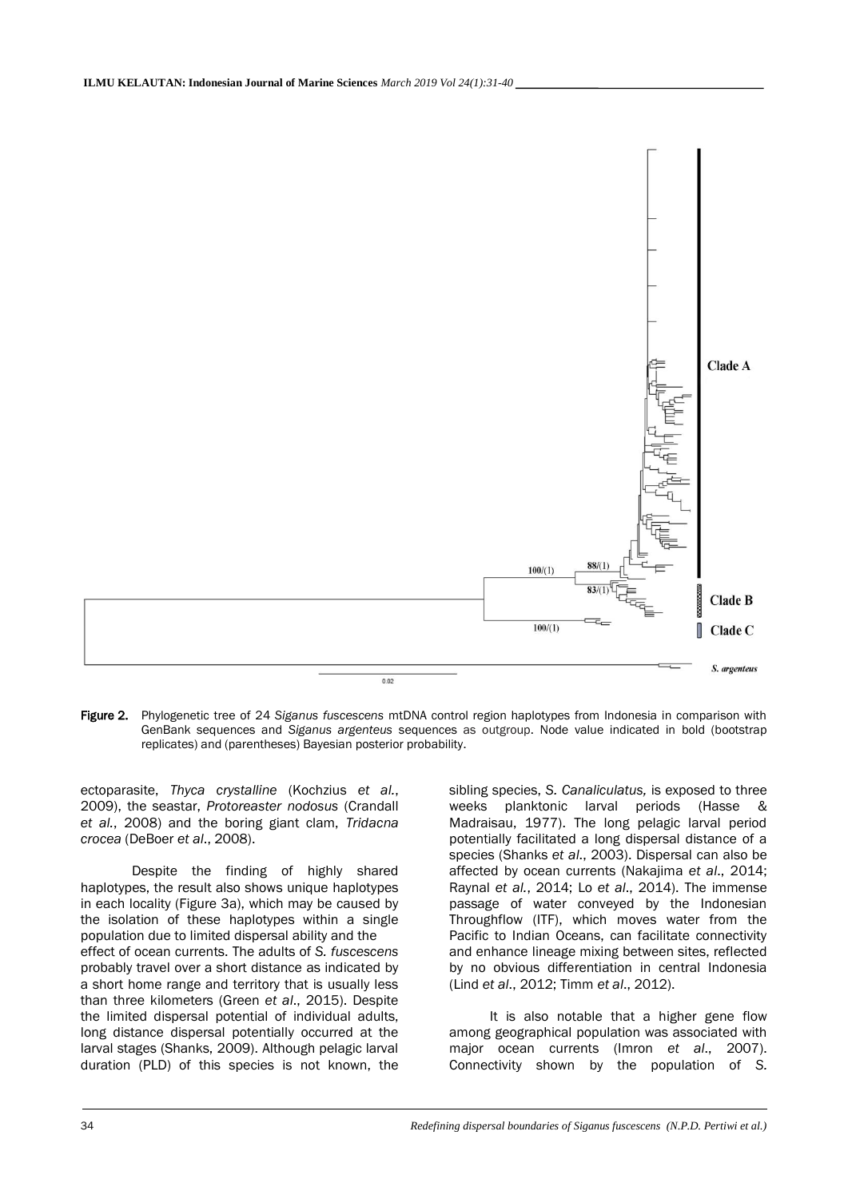

Figure 2. Phylogenetic tree of 24 *Siganus fuscescens* mtDNA control region haplotypes from Indonesia in comparison with GenBank sequences and *Siganus argenteus* sequences as outgroup. Node value indicated in bold (bootstrap replicates) and (parentheses) Bayesian posterior probability.

ectoparasite, *Thyca crystalline* (Kochzius *et al.*, 2009), the seastar, *Protoreaster nodosus* (Crandall *et al.*, 2008) and the boring giant clam, *Tridacna crocea* (DeBoer *et al*., 2008).

Despite the finding of highly shared haplotypes, the result also shows unique haplotypes in each locality (Figure 3a), which may be caused by the isolation of these haplotypes within a single population due to limited dispersal ability and the effect of ocean currents. The adults of *S. fuscescens* probably travel over a short distance as indicated by a short home range and territory that is usually less than three kilometers (Green *et al*., 2015). Despite the limited dispersal potential of individual adults, long distance dispersal potentially occurred at the larval stages (Shanks, 2009). Although pelagic larval duration (PLD) of this species is not known, the

sibling species, *S. Canaliculatus,* is exposed to three weeks planktonic larval periods (Hasse & Madraisau, 1977). The long pelagic larval period potentially facilitated a long dispersal distance of a species (Shanks *et al*., 2003). Dispersal can also be affected by ocean currents (Nakajima *et al*., 2014; Raynal *et al.*, 2014; Lo *et al*., 2014). The immense passage of water conveyed by the Indonesian Throughflow (ITF), which moves water from the Pacific to Indian Oceans, can facilitate connectivity and enhance lineage mixing between sites, reflected by no obvious differentiation in central Indonesia (Lind *et al*., 2012; Timm *et al*., 2012).

It is also notable that a higher gene flow among geographical population was associated with major ocean currents (Imron *et al*., 2007). Connectivity shown by the population of *S.*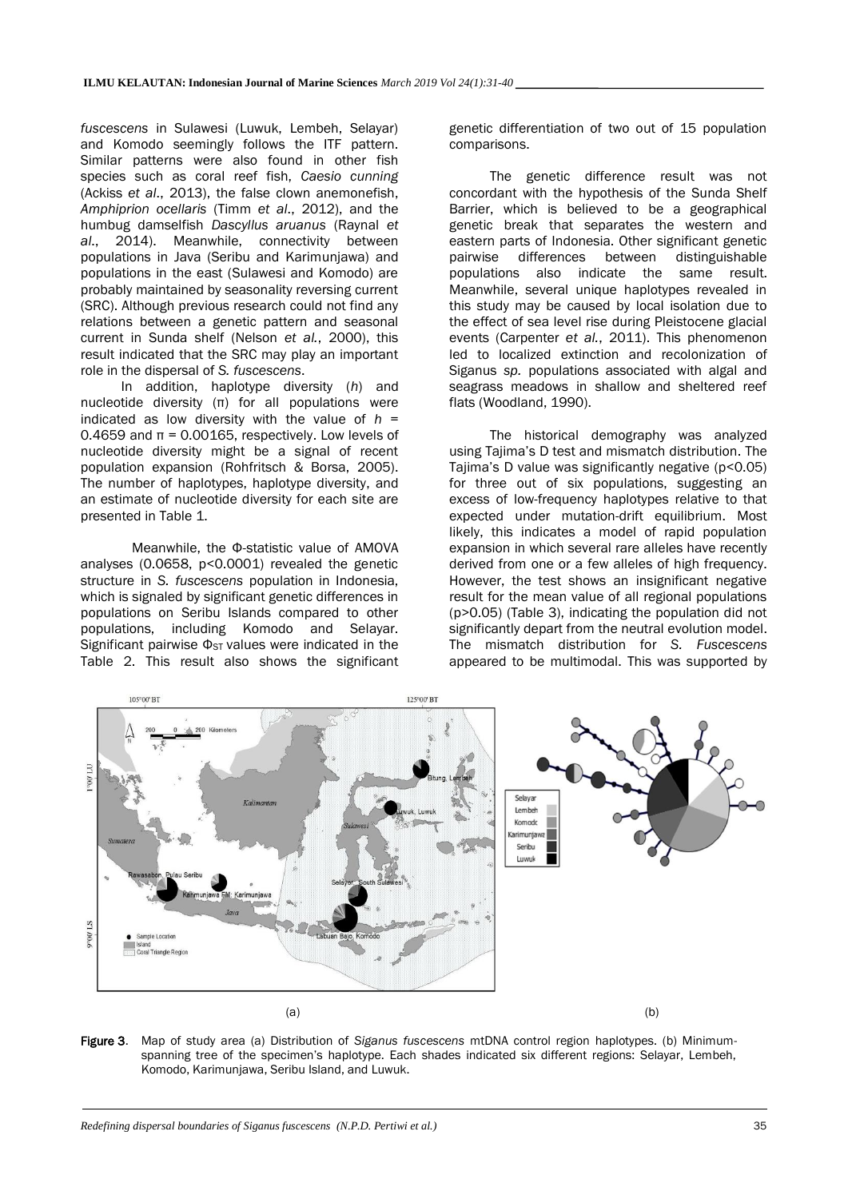*fuscescens* in Sulawesi (Luwuk, Lembeh, Selayar) and Komodo seemingly follows the ITF pattern. Similar patterns were also found in other fish species such as coral reef fish, *Caesio cunning* (Ackiss *et al*., 2013), the false clown anemonefish, *Amphiprion ocellaris* (Timm *et al*., 2012), and the humbug damselfish *Dascyllus aruanus* (Raynal *et al*., 2014). Meanwhile, connectivity between populations in Java (Seribu and Karimunjawa) and populations in the east (Sulawesi and Komodo) are probably maintained by seasonality reversing current (SRC). Although previous research could not find any relations between a genetic pattern and seasonal current in Sunda shelf (Nelson *et al.*, 2000), this result indicated that the SRC may play an important role in the dispersal of *S. fuscescens*.

In addition, haplotype diversity (*h*) and nucleotide diversity (π) for all populations were indicated as low diversity with the value of *h* = 0.4659 and π = 0.00165, respectively. Low levels of nucleotide diversity might be a signal of recent population expansion (Rohfritsch & Borsa, 2005). The number of haplotypes, haplotype diversity, and an estimate of nucleotide diversity for each site are presented in Table 1.

Meanwhile, the Φ-statistic value of AMOVA analyses (0.0658, p<0.0001) revealed the genetic structure in *S. fuscescens* population in Indonesia, which is signaled by significant genetic differences in populations on Seribu Islands compared to other populations, including Komodo and Selayar. Significant pairwise  $\Phi_{ST}$  values were indicated in the Table 2. This result also shows the significant genetic differentiation of two out of 15 population comparisons.

The genetic difference result was not concordant with the hypothesis of the Sunda Shelf Barrier, which is believed to be a geographical genetic break that separates the western and eastern parts of Indonesia. Other significant genetic pairwise differences between distinguishable<br>populations also indicate the same result. populations also indicate the Meanwhile, several unique haplotypes revealed in this study may be caused by local isolation due to the effect of sea level rise during Pleistocene glacial events (Carpenter *et al.*, 2011). This phenomenon led to localized extinction and recolonization of Siganus *sp.* populations associated with algal and seagrass meadows in shallow and sheltered reef flats (Woodland, 1990).

The historical demography was analyzed using Tajima's D test and mismatch distribution. The Tajima's D value was significantly negative (p<0.05) for three out of six populations, suggesting an excess of low-frequency haplotypes relative to that expected under mutation-drift equilibrium. Most likely, this indicates a model of rapid population expansion in which several rare alleles have recently derived from one or a few alleles of high frequency. However, the test shows an insignificant negative result for the mean value of all regional populations (p>0.05) (Table 3), indicating the population did not significantly depart from the neutral evolution model. The mismatch distribution for *S. Fuscescens* appeared to be multimodal. This was supported by



Figure 3. Map of study area (a) Distribution of *Siganus fuscescens* mtDNA control region haplotypes. (b) Minimumspanning tree of the specimen's haplotype. Each shades indicated six different regions: Selayar, Lembeh, Komodo, Karimunjawa, Seribu Island, and Luwuk.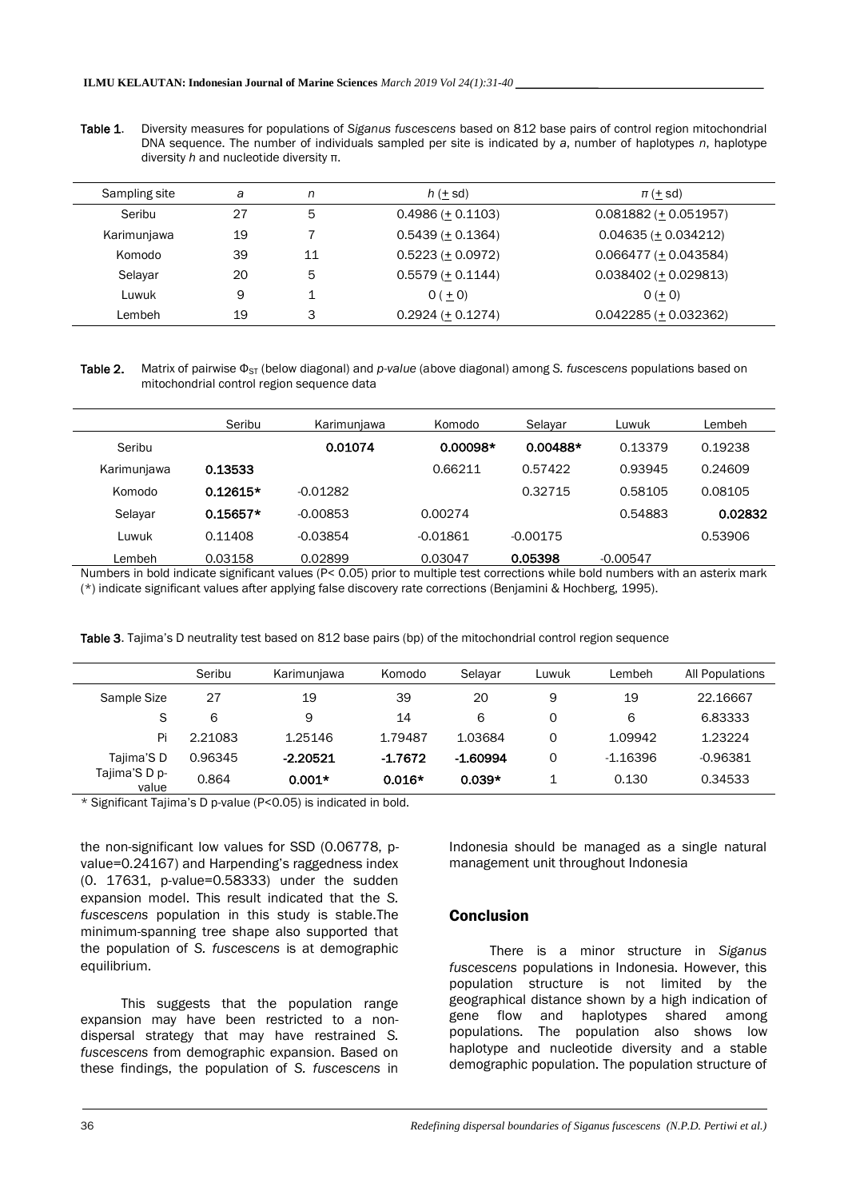Table 1. Diversity measures for populations of *Siganus fuscescens* based on 812 base pairs of control region mitochondrial DNA sequence. The number of individuals sampled per site is indicated by *a*, number of haplotypes *n*, haplotype diversity *h* and nucleotide diversity π.

| Sampling site | a  | n  | $h(\pm sd)$         | $\pi$ (+ sd)              |
|---------------|----|----|---------------------|---------------------------|
| Seribu        | 27 | 5  | $0.4986 (+ 0.1103)$ | $0.081882 (+ 0.051957)$   |
| Karimunjawa   | 19 |    | $0.5439 (+ 0.1364)$ | $0.04635 (+ 0.034212)$    |
| Komodo        | 39 | 11 | $0.5223 (+ 0.0972)$ | $0.066477 (+ 0.043584)$   |
| Selayar       | 20 | 5  | $0.5579 (+ 0.1144)$ | $0.038402 (+ 0.029813)$   |
| Luwuk         | 9  |    | $0 (+ 0)$           | $0 (+ 0)$                 |
| Lembeh        | 19 | 3  | $0.2924 (+ 0.1274)$ | $0.042285 (\pm 0.032362)$ |

Table 2. Matrix of pairwise Φ<sub>ST</sub> (below diagonal) and *p-value* (above diagonal) among *S. fuscescens* populations based on mitochondrial control region sequence data

|             | Seribu     | Karimunjawa | Komodo     | Selavar    | Luwuk      | Lembeh  |
|-------------|------------|-------------|------------|------------|------------|---------|
| Seribu      |            | 0.01074     | $0.00098*$ | $0.00488*$ | 0.13379    | 0.19238 |
| Karimunjawa | 0.13533    |             | 0.66211    | 0.57422    | 0.93945    | 0.24609 |
| Komodo      | $0.12615*$ | $-0.01282$  |            | 0.32715    | 0.58105    | 0.08105 |
| Selayar     | $0.15657*$ | $-0.00853$  | 0.00274    |            | 0.54883    | 0.02832 |
| Luwuk       | 0.11408    | $-0.03854$  | $-0.01861$ | $-0.00175$ |            | 0.53906 |
| Lembeh      | 0.03158    | 0.02899     | 0.03047    | 0.05398    | $-0.00547$ |         |

Numbers in bold indicate significant values (P< 0.05) prior to multiple test corrections while bold numbers with an asterix mark (\*) indicate significant values after applying false discovery rate corrections (Benjamini & Hochberg, 1995).

|                        | Seribu  | Karimunjawa | Komodo    | Selayar    | Luwuk | Lembeh     | All Populations |
|------------------------|---------|-------------|-----------|------------|-------|------------|-----------------|
| Sample Size            | 27      | 19          | 39        | 20         | 9     | 19         | 22.16667        |
| S                      | 6       | 9           | 14        | 6          | 0     | 6          | 6.83333         |
| Pi                     | 2.21083 | 1.25146     | 1.79487   | 1.03684    | 0     | 1.09942    | 1.23224         |
| Tajima'S D             | 0.96345 | $-2.20521$  | $-1.7672$ | $-1.60994$ | 0     | $-1.16396$ | $-0.96381$      |
| Tajima'S D p-<br>value | 0.864   | $0.001*$    | $0.016*$  | $0.039*$   |       | 0.130      | 0.34533         |

Table 3. Tajima's D neutrality test based on 812 base pairs (bp) of the mitochondrial control region sequence

\* Significant Tajima's D p-value (P<0.05) is indicated in bold.

the non-significant low values for SSD (0.06778, pvalue=0.24167) and Harpending's raggedness index (0. 17631, p-value=0.58333) under the sudden expansion model. This result indicated that the *S. fuscescens* population in this study is stable.The minimum-spanning tree shape also supported that the population of *S. fuscescens* is at demographic equilibrium.

This suggests that the population range expansion may have been restricted to a nondispersal strategy that may have restrained *S. fuscescens* from demographic expansion. Based on these findings, the population of *S. fuscescens* in Indonesia should be managed as a single natural management unit throughout Indonesia

### **Conclusion**

There is a minor structure in *Siganus fuscescens* populations in Indonesia. However, this population structure is not limited by the geographical distance shown by a high indication of gene flow and haplotypes shared among populations. The population also shows low haplotype and nucleotide diversity and a stable demographic population. The population structure of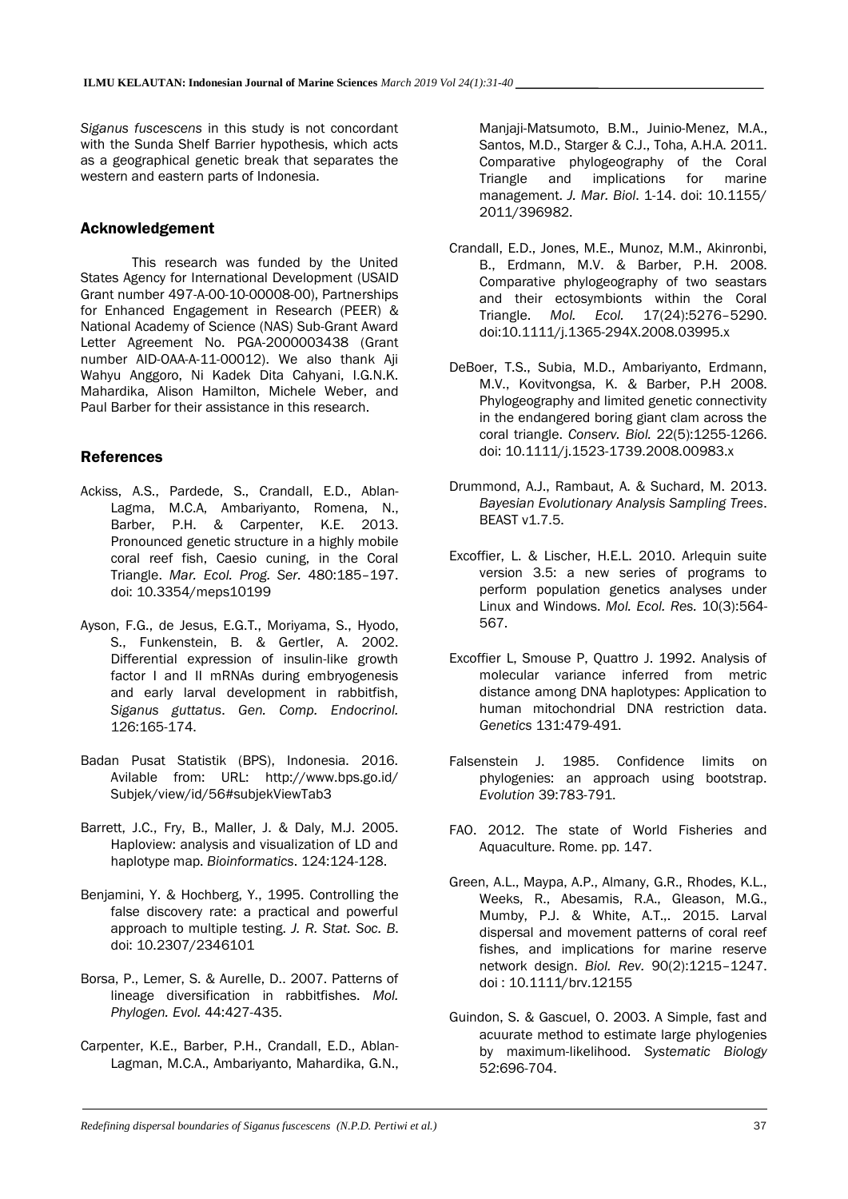*Siganus fuscescens* in this study is not concordant with the Sunda Shelf Barrier hypothesis, which acts as a geographical genetic break that separates the western and eastern parts of Indonesia.

# Acknowledgement

This research was funded by the United States Agency for International Development (USAID Grant number 497-A-00-10-00008-00), Partnerships for Enhanced Engagement in Research (PEER) & National Academy of Science (NAS) Sub-Grant Award Letter Agreement No. PGA-2000003438 (Grant number AID-OAA-A-11-00012). We also thank Aji Wahyu Anggoro, Ni Kadek Dita Cahyani, I.G.N.K. Mahardika, Alison Hamilton, Michele Weber, and Paul Barber for their assistance in this research.

# References

- Ackiss, A.S., Pardede, S., Crandall, E.D., Ablan-Lagma, M.C.A, Ambariyanto, Romena, N., Barber, P.H. & Carpenter, K.E. 2013. Pronounced genetic structure in a highly mobile coral reef fish, Caesio cuning, in the Coral Triangle. *Mar. Ecol. Prog. Ser.* 480:185–197. doi: 10.3354/meps10199
- Ayson, F.G., de Jesus, E.G.T., Moriyama, S., Hyodo, S., Funkenstein, B. & Gertler, A. 2002. Differential expression of insulin-like growth factor I and II mRNAs during embryogenesis and early larval development in rabbitfish, *Siganus guttatus*. *Gen. Comp. Endocrinol.* 126:165-174.
- Badan Pusat Statistik (BPS), Indonesia. 2016. Avilable from: URL: http://www.bps.go.id/ Subjek/view/id/56#subjekViewTab3
- Barrett, J.C., Fry, B., Maller, J. & Daly, M.J. 2005. Haploview: analysis and visualization of LD and haplotype map. *Bioinformatics*. 124:124-128.
- Benjamini, Y. & Hochberg, Y., 1995. Controlling the false discovery rate: a practical and powerful approach to multiple testing. *J. R. Stat. Soc. B*. doi: 10.2307/2346101
- Borsa, P., Lemer, S. & Aurelle, D.. 2007. Patterns of lineage diversification in rabbitfishes. *Mol. Phylogen. Evol.* 44:427-435.
- Carpenter, K.E., Barber, P.H., Crandall, E.D., Ablan-Lagman, M.C.A., Ambariyanto, Mahardika, G.N.,

Manjaji-Matsumoto, B.M., Juinio-Menez, M.A., Santos, M.D., Starger & C.J., Toha, A.H.A. 2011. Comparative phylogeography of the Coral Triangle and implications for marine management. *J. Mar. Biol*. 1-14. doi: 10.1155/ 2011/396982.

- Crandall, E.D., Jones, M.E., Munoz, M.M., Akinronbi, B., Erdmann, M.V. & Barber, P.H. 2008. Comparative phylogeography of two seastars and their ectosymbionts within the Coral Triangle. *Mol. Ecol.* 17(24):5276–5290. doi:10.1111/j.1365-294X.2008.03995.x
- DeBoer, T.S., Subia, M.D., Ambariyanto, Erdmann, M.V., Kovitvongsa, K. & Barber, P.H 2008. Phylogeography and limited genetic connectivity in the endangered boring giant clam across the coral triangle. *Conserv. Biol.* 22(5):1255-1266. doi: 10.1111/j.1523-1739.2008.00983.x
- Drummond, A.J., Rambaut, A. & Suchard, M. 2013. *Bayesian Evolutionary Analysis Sampling Trees*. **BEAST v1.7.5.**
- Excoffier, L. & Lischer, H.E.L. 2010. Arlequin suite version 3.5: a new series of programs to perform population genetics analyses under Linux and Windows. *Mol. Ecol. Res.* 10(3):564- 567.
- Excoffier L, Smouse P, Quattro J. 1992. Analysis of molecular variance inferred from metric distance among DNA haplotypes: Application to human mitochondrial DNA restriction data. *Genetics* 131:479-491.
- Falsenstein J. 1985. Confidence limits on phylogenies: an approach using bootstrap. *Evolution* 39:783-791.
- FAO. 2012. The state of World Fisheries and Aquaculture. Rome. pp. 147.
- Green, A.L., Maypa, A.P., Almany, G.R., Rhodes, K.L., Weeks, R., Abesamis, R.A., Gleason, M.G., Mumby, P.J. & White, A.T.,. 2015. Larval dispersal and movement patterns of coral reef fishes, and implications for marine reserve network design. *Biol. Rev.* 90(2):1215–1247. doi : 10.1111/brv.12155
- Guindon, S. & Gascuel, O. 2003. A Simple, fast and acuurate method to estimate large phylogenies by maximum-likelihood. *Systematic Biology* 52:696-704.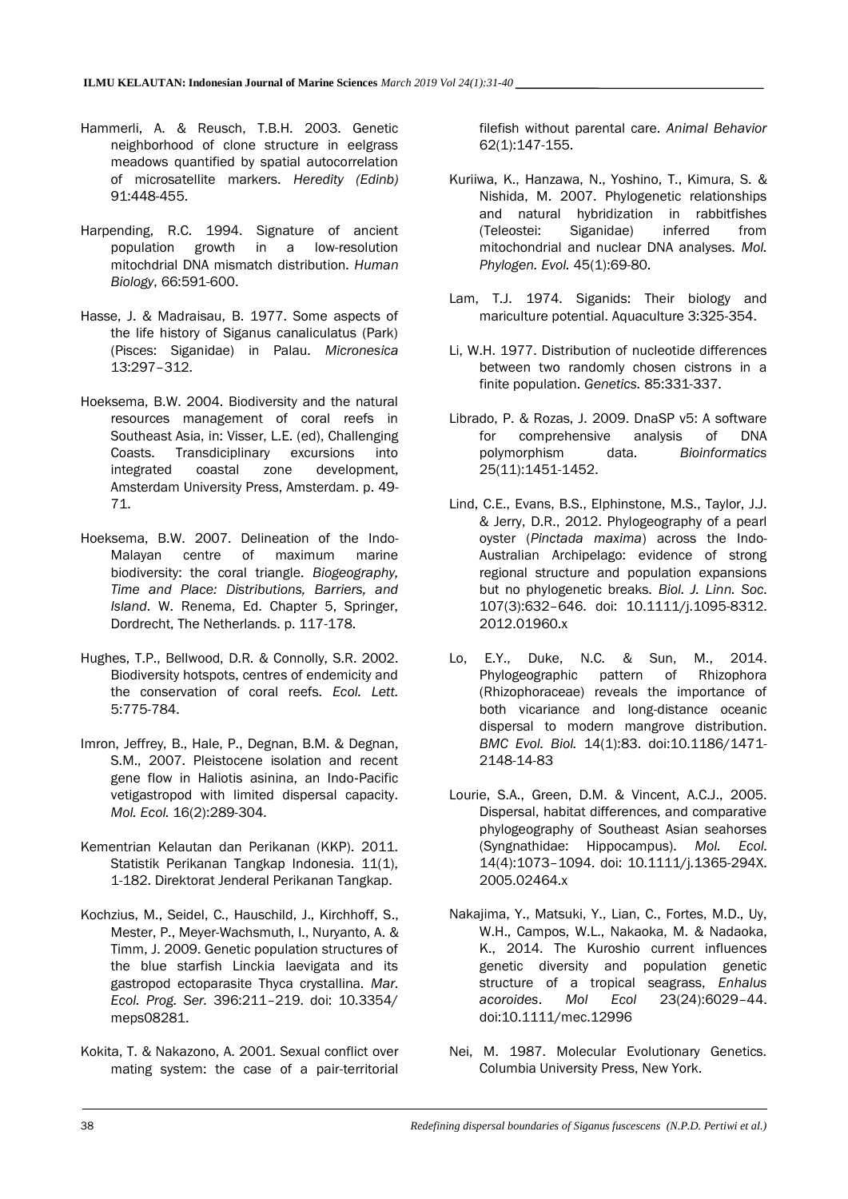- Hammerli, A. & Reusch, T.B.H. 2003. Genetic neighborhood of clone structure in eelgrass meadows quantified by spatial autocorrelation of microsatellite markers. *Heredity (Edinb)* 91:448-455.
- Harpending, R.C. 1994. Signature of ancient population growth in a low-resolution mitochdrial DNA mismatch distribution. *Human Biology*, 66:591-600.
- Hasse, J. & Madraisau, B. 1977. Some aspects of the life history of Siganus canaliculatus (Park) (Pisces: Siganidae) in Palau. *Micronesica*  13:297–312.
- Hoeksema, B.W. 2004. Biodiversity and the natural resources management of coral reefs in Southeast Asia, in: Visser, L.E. (ed), Challenging Coasts. Transdiciplinary excursions into integrated coastal zone development, Amsterdam University Press, Amsterdam. p. 49- 71.
- Hoeksema, B.W. 2007. Delineation of the Indo-Malayan centre of maximum marine biodiversity: the coral triangle. *Biogeography, Time and Place: Distributions, Barriers, and Island*. W. Renema, Ed. Chapter 5, Springer, Dordrecht, The Netherlands. p. 117-178.
- Hughes, T.P., Bellwood, D.R. & Connolly, S.R. 2002. Biodiversity hotspots, centres of endemicity and the conservation of coral reefs. *Ecol. Lett.* 5:775-784.
- Imron, Jeffrey, B., Hale, P., Degnan, B.M. & Degnan, S.M., 2007. Pleistocene isolation and recent gene flow in Haliotis asinina, an Indo‐Pacific vetigastropod with limited dispersal capacity. *Mol. Ecol.* 16(2):289-304.
- Kementrian Kelautan dan Perikanan (KKP). 2011. Statistik Perikanan Tangkap Indonesia. 11(1), 1-182. Direktorat Jenderal Perikanan Tangkap.
- Kochzius, M., Seidel, C., Hauschild, J., Kirchhoff, S., Mester, P., Meyer-Wachsmuth, I., Nuryanto, A. & Timm, J. 2009. Genetic population structures of the blue starfish Linckia laevigata and its gastropod ectoparasite Thyca crystallina. *Mar. Ecol. Prog. Ser.* 396:211–219. doi: 10.3354/ meps08281.
- Kokita, T. & Nakazono, A. 2001. Sexual conflict over mating system: the case of a pair-territorial

filefish without parental care. *Animal Behavior* 62(1):147-155.

- Kuriiwa, K., Hanzawa, N., Yoshino, T., Kimura, S. & Nishida, M. 2007. Phylogenetic relationships and natural hybridization in rabbitfishes (Teleostei: Siganidae) inferred from mitochondrial and nuclear DNA analyses. *Mol. Phylogen. Evol.* 45(1):69-80.
- Lam, T.J. 1974. Siganids: Their biology and mariculture potential. Aquaculture 3:325-354.
- Li, W.H. 1977. Distribution of nucleotide differences between two randomly chosen cistrons in a finite population. *Genetics.* 85:331-337.
- Librado, P. & Rozas, J. 2009. DnaSP v5: A software for comprehensive analysis of DNA polymorphism data. *Bioinformatics* 25(11):1451-1452.
- Lind, C.E., Evans, B.S., Elphinstone, M.S., Taylor, J.J. & Jerry, D.R., 2012. Phylogeography of a pearl oyster (*Pinctada maxima*) across the Indo-Australian Archipelago: evidence of strong regional structure and population expansions but no phylogenetic breaks. *Biol. J. Linn. Soc.* 107(3):632–646. doi: 10.1111/j.1095-8312. 2012.01960.x
- Lo, E.Y., Duke, N.C. & Sun, M., 2014. Phylogeographic pattern of Rhizophora (Rhizophoraceae) reveals the importance of both vicariance and long-distance oceanic dispersal to modern mangrove distribution. *BMC Evol. Biol.* 14(1):83. doi:10.1186/1471- 2148-14-83
- Lourie, S.A., Green, D.M. & Vincent, A.C.J., 2005. Dispersal, habitat differences, and comparative phylogeography of Southeast Asian seahorses (Syngnathidae: Hippocampus). *Mol. Ecol.* 14(4):1073–1094. doi: 10.1111/j.1365-294X. 2005.02464.x
- Nakajima, Y., Matsuki, Y., Lian, C., Fortes, M.D., Uy, W.H., Campos, W.L., Nakaoka, M. & Nadaoka, K., 2014. The Kuroshio current influences genetic diversity and population genetic structure of a tropical seagrass, *Enhalus acoroides*. *Mol Ecol* 23(24):6029–44. doi:10.1111/mec.12996
- Nei, M. 1987. Molecular Evolutionary Genetics. Columbia University Press, New York.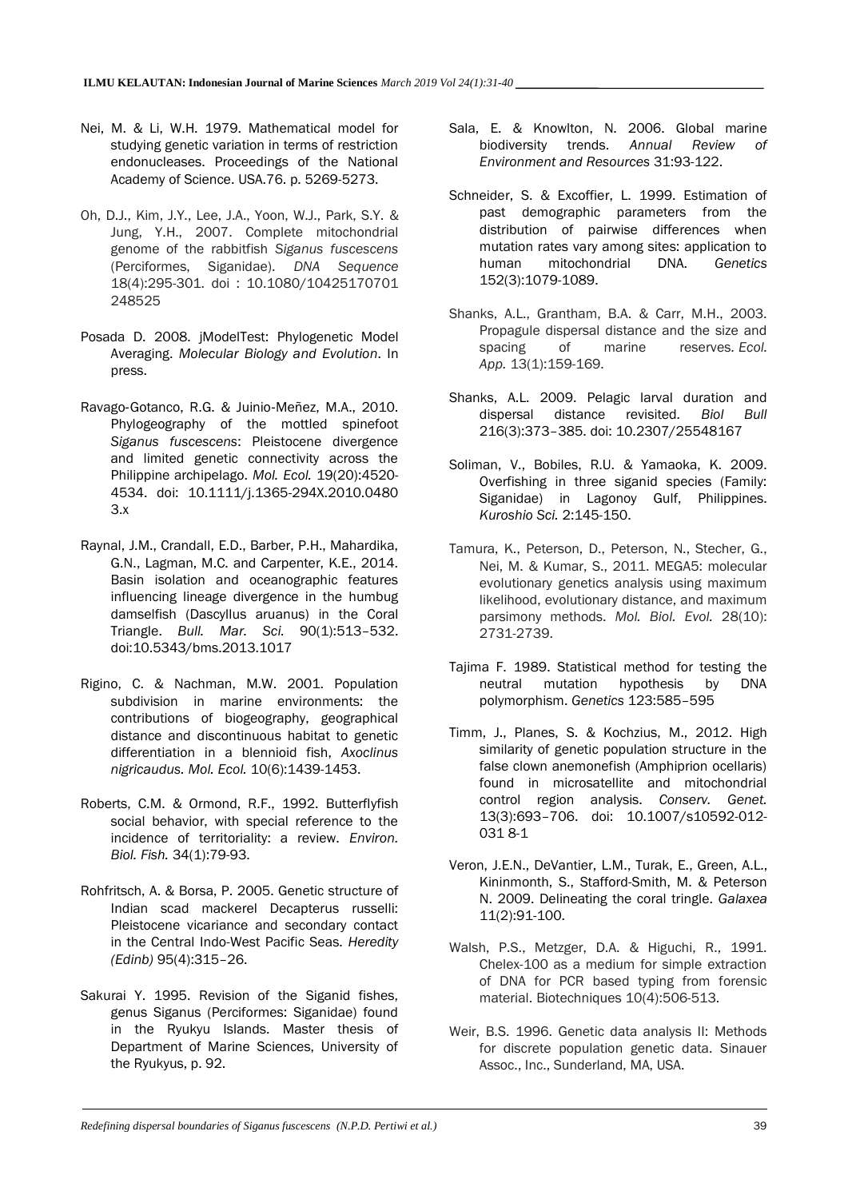- Nei, M. & Li, W.H. 1979. Mathematical model for studying genetic variation in terms of restriction endonucleases. Proceedings of the National Academy of Science. USA.76. p. 5269-5273.
- Oh, D.J., Kim, J.Y., Lee, J.A., Yoon, W.J., Park, S.Y. & Jung, Y.H., 2007. Complete mitochondrial genome of the rabbitfish *Siganus fuscescens* (Perciformes, Siganidae). *DNA Sequence* 18(4):295-301. doi : 10.1080/10425170701 248525
- Posada D. 2008. jModelTest: Phylogenetic Model Averaging. *Molecular Biology and Evolution*. In press.
- Ravago‐Gotanco, R.G. & Juinio‐Meñez, M.A., 2010. Phylogeography of the mottled spinefoot *Siganus fuscescens*: Pleistocene divergence and limited genetic connectivity across the Philippine archipelago. *Mol. Ecol.* 19(20):4520- 4534. doi: 10.1111/j.1365-294X.2010.0480 3.x
- Raynal, J.M., Crandall, E.D., Barber, P.H., Mahardika, G.N., Lagman, M.C. and Carpenter, K.E., 2014. Basin isolation and oceanographic features influencing lineage divergence in the humbug damselfish (Dascyllus aruanus) in the Coral Triangle. *Bull. Mar. Sci.* 90(1):513–532. doi:10.5343/bms.2013.1017
- Rigino, C. & Nachman, M.W. 2001. Population subdivision in marine environments: the contributions of biogeography, geographical distance and discontinuous habitat to genetic differentiation in a blennioid fish, *Axoclinus nigricaudus. Mol. Ecol.* 10(6):1439-1453.
- Roberts, C.M. & Ormond, R.F., 1992. Butterflyfish social behavior, with special reference to the incidence of territoriality: a review. *Environ. Biol. Fish.* 34(1):79-93.
- Rohfritsch, A. & Borsa, P. 2005. Genetic structure of Indian scad mackerel Decapterus russelli: Pleistocene vicariance and secondary contact in the Central Indo-West Pacific Seas. *Heredity (Edinb)* 95(4):315–26.
- Sakurai Y. 1995. Revision of the Siganid fishes, genus Siganus (Perciformes: Siganidae) found in the Ryukyu Islands. Master thesis of Department of Marine Sciences, University of the Ryukyus, p. 92.
- Sala, E. & Knowlton, N. 2006. Global marine biodiversity trends. *Annual Review of Environment and Resources* 31:93-122.
- Schneider, S. & Excoffier, L. 1999. Estimation of past demographic parameters from the distribution of pairwise differences when mutation rates vary among sites: application to human mitochondrial DNA. *Genetics*  152(3):1079-1089.
- Shanks, A.L., Grantham, B.A. & Carr, M.H., 2003. Propagule dispersal distance and the size and spacing of marine reserves. *Ecol. App.* 13(1):159-169.
- Shanks, A.L. 2009. Pelagic larval duration and dispersal distance revisited*. Biol Bull* 216(3):373–385. doi: 10.2307/25548167
- Soliman, V., Bobiles, R.U. & Yamaoka, K. 2009. Overfishing in three siganid species (Family: Siganidae) in Lagonoy Gulf, Philippines. *Kuroshio Sci.* 2:145-150.
- Tamura, K., Peterson, D., Peterson, N., Stecher, G., Nei, M. & Kumar, S., 2011. MEGA5: molecular evolutionary genetics analysis using maximum likelihood, evolutionary distance, and maximum parsimony methods. *Mol. Biol. Evol.* 28(10): 2731-2739.
- Tajima F. 1989. Statistical method for testing the neutral mutation hypothesis by DNA polymorphism. *Genetics* 123:585–595
- Timm, J., Planes, S. & Kochzius, M., 2012. High similarity of genetic population structure in the false clown anemonefish (Amphiprion ocellaris) found in microsatellite and mitochondrial control region analysis. *Conserv. Genet.* 13(3):693–706. doi: 10.1007/s10592-012- 031 8-1
- Veron, J.E.N., DeVantier, L.M., Turak, E., Green, A.L., Kininmonth, S., Stafford-Smith, M. & Peterson N. 2009. Delineating the coral tringle. *Galaxea*  11(2):91-100.
- Walsh, P.S., Metzger, D.A. & Higuchi, R., 1991. Chelex-100 as a medium for simple extraction of DNA for PCR based typing from forensic material. Biotechniques 10(4):506-513.
- Weir, B.S. 1996. Genetic data analysis II: Methods for discrete population genetic data. Sinauer Assoc., Inc., Sunderland, MA, USA.